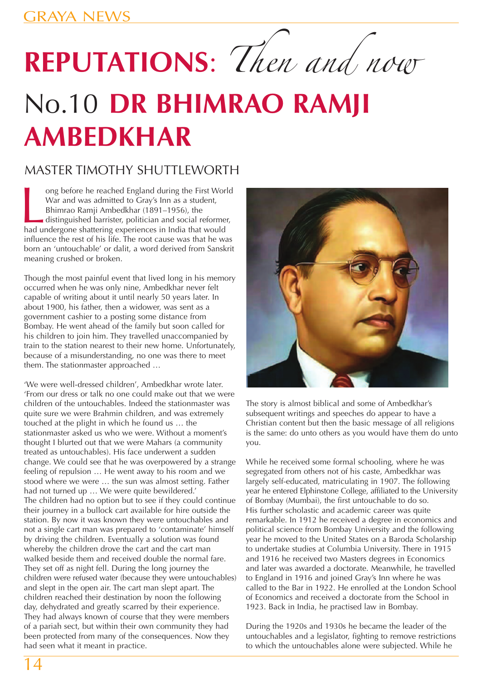## **REPUTATIONS**: Then and now

## No.10 **DR BHIMRAO RAMJI AMBEDKHAR**

## MASTER TIMOTHY SHUTTLEWORTH

ong before he reached England during the First Wordwar and was admitted to Gray's Inn as a student, Bhimrao Ramji Ambedkhar (1891–1956), the distinguished barrister, politician and social reformed had undergone shattering ong before he reached England during the First World War and was admitted to Gray's Inn as a student, Bhimrao Ramji Ambedkhar (1891–1956), the distinguished barrister, politician and social reformer, influence the rest of his life. The root cause was that he was born an 'untouchable' or dalit, a word derived from Sanskrit meaning crushed or broken.

Though the most painful event that lived long in his memory occurred when he was only nine, Ambedkhar never felt capable of writing about it until nearly 50 years later. In about 1900, his father, then a widower, was sent as a government cashier to a posting some distance from Bombay. He went ahead of the family but soon called for his children to join him. They travelled unaccompanied by train to the station nearest to their new home. Unfortunately, because of a misunderstanding, no one was there to meet them. The stationmaster approached …

'We were well-dressed children', Ambedkhar wrote later. 'From our dress or talk no one could make out that we were children of the untouchables. Indeed the stationmaster was quite sure we were Brahmin children, and was extremely touched at the plight in which he found us … the stationmaster asked us who we were. Without a moment's thought I blurted out that we were Mahars (a community treated as untouchables). His face underwent a sudden change. We could see that he was overpowered by a strange feeling of repulsion … He went away to his room and we stood where we were … the sun was almost setting. Father had not turned up ... We were quite bewildered.' The children had no option but to see if they could continue their journey in a bullock cart available for hire outside the station. By now it was known they were untouchables and not a single cart man was prepared to 'contaminate' himself by driving the children. Eventually a solution was found whereby the children drove the cart and the cart man walked beside them and received double the normal fare. They set off as night fell. During the long journey the children were refused water (because they were untouchables) and slept in the open air. The cart man slept apart. The children reached their destination by noon the following day, dehydrated and greatly scarred by their experience. They had always known of course that they were members of a pariah sect, but within their own community they had been protected from many of the consequences. Now they had seen what it meant in practice.



The story is almost biblical and some of Ambedkhar's subsequent writings and speeches do appear to have a Christian content but then the basic message of all religions is the same: do unto others as you would have them do unto you.

While he received some formal schooling, where he was segregated from others not of his caste, Ambedkhar was largely self-educated, matriculating in 1907. The following year he entered Elphinstone College, affiliated to the University of Bombay (Mumbai), the first untouchable to do so. His further scholastic and academic career was quite remarkable. In 1912 he received a degree in economics and political science from Bombay University and the following year he moved to the United States on a Baroda Scholarship to undertake studies at Columbia University. There in 1915 and 1916 he received two Masters degrees in Economics and later was awarded a doctorate. Meanwhile, he travelled to England in 1916 and joined Gray's Inn where he was called to the Bar in 1922. He enrolled at the London School of Economics and received a doctorate from the School in 1923. Back in India, he practised law in Bombay.

During the 1920s and 1930s he became the leader of the untouchables and a legislator, fighting to remove restrictions to which the untouchables alone were subjected. While he